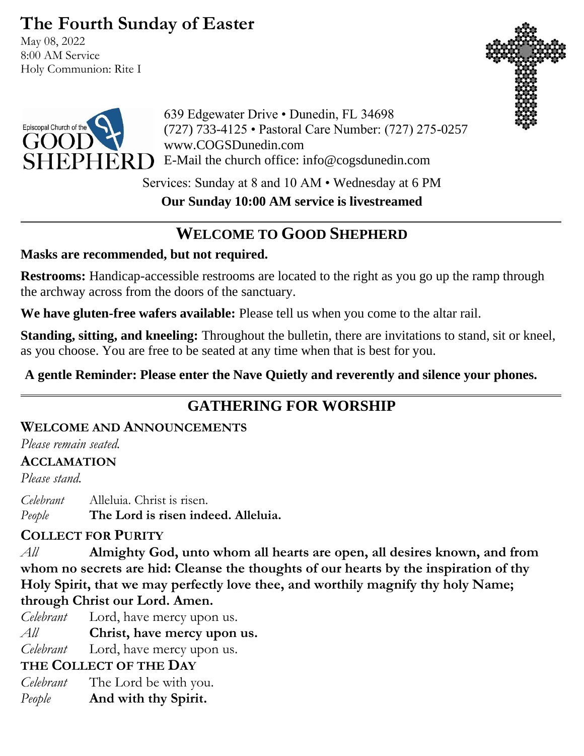# **The Fourth Sunday of Easter**

May 08, 2022 8:00 AM Service Holy Communion: Rite I





639 Edgewater Drive • Dunedin, FL 34698 (727) 733-4125 • Pastoral Care Number: (727) 275-0257 www.COGSDunedin.com E-Mail the church office: info@cogsdunedin.com

Services: Sunday at 8 and 10 AM • Wednesday at 6 PM

**Our Sunday 10:00 AM service is livestreamed**

# **WELCOME TO GOOD SHEPHERD**

## **Masks are recommended, but not required.**

**Restrooms:** Handicap-accessible restrooms are located to the right as you go up the ramp through the archway across from the doors of the sanctuary.

**We have gluten-free wafers available:** Please tell us when you come to the altar rail.

**Standing, sitting, and kneeling:** Throughout the bulletin, there are invitations to stand, sit or kneel, as you choose. You are free to be seated at any time when that is best for you.

**A gentle Reminder: Please enter the Nave Quietly and reverently and silence your phones.**

# **GATHERING FOR WORSHIP**

## **WELCOME AND ANNOUNCEMENTS**

*Please remain seated.*

## **ACCLAMATION**

*Please stand.*

*Celebrant* Alleluia. Christ is risen. *People* **The Lord is risen indeed. Alleluia.**

## **COLLECT FOR PURITY**

*All* **Almighty God, unto whom all hearts are open, all desires known, and from whom no secrets are hid: Cleanse the thoughts of our hearts by the inspiration of thy Holy Spirit, that we may perfectly love thee, and worthily magnify thy holy Name; through Christ our Lord. Amen.**

- *Celebrant* Lord, have mercy upon us.
- *All* **Christ, have mercy upon us.**

*Celebrant* Lord, have mercy upon us.

## **THE COLLECT OF THE DAY**

- *Celebrant* The Lord be with you.
- *People* **And with thy Spirit.**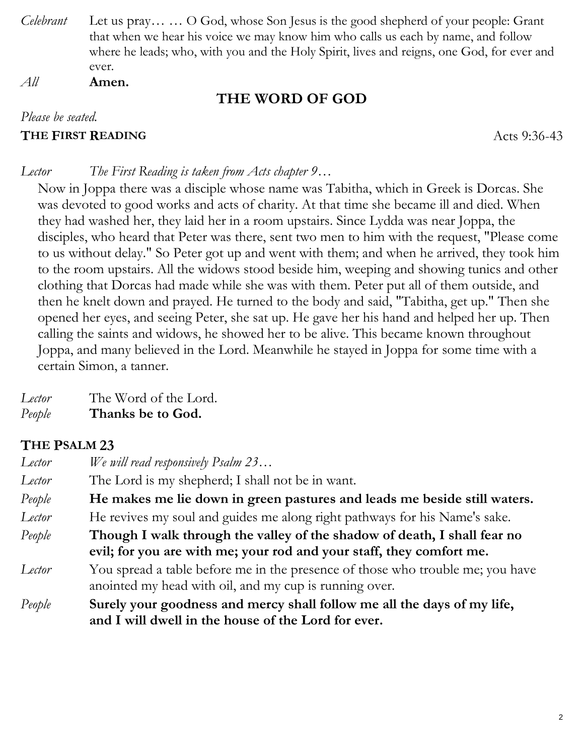*Celebrant* Let us pray… … O God, whose Son Jesus is the good shepherd of your people: Grant that when we hear his voice we may know him who calls us each by name, and follow where he leads; who, with you and the Holy Spirit, lives and reigns, one God, for ever and ever.

*All* **Amen.**

## **THE WORD OF GOD**

#### *Please be seated.*

#### **THE FIRST READING** Acts 9:36-43

#### *Lector The First Reading is taken from Acts chapter 9…*

Now in Joppa there was a disciple whose name was Tabitha, which in Greek is Dorcas. She was devoted to good works and acts of charity. At that time she became ill and died. When they had washed her, they laid her in a room upstairs. Since Lydda was near Joppa, the disciples, who heard that Peter was there, sent two men to him with the request, "Please come to us without delay." So Peter got up and went with them; and when he arrived, they took him to the room upstairs. All the widows stood beside him, weeping and showing tunics and other clothing that Dorcas had made while she was with them. Peter put all of them outside, and then he knelt down and prayed. He turned to the body and said, "Tabitha, get up." Then she opened her eyes, and seeing Peter, she sat up. He gave her his hand and helped her up. Then calling the saints and widows, he showed her to be alive. This became known throughout Joppa, and many believed in the Lord. Meanwhile he stayed in Joppa for some time with a certain Simon, a tanner.

*Lector* The Word of the Lord.

*People* **Thanks be to God.**

# **THE PSALM 23**

| Lector | We will read responsively $P_{s}$ alm 23                                       |  |
|--------|--------------------------------------------------------------------------------|--|
| Lector | The Lord is my shepherd; I shall not be in want.                               |  |
| People | He makes me lie down in green pastures and leads me beside still waters.       |  |
| Lector | He revives my soul and guides me along right pathways for his Name's sake.     |  |
| People | Though I walk through the valley of the shadow of death, I shall fear no       |  |
|        | evil; for you are with me; your rod and your staff, they comfort me.           |  |
| Lector | You spread a table before me in the presence of those who trouble me; you have |  |
|        | anointed my head with oil, and my cup is running over.                         |  |
| People | Surely your goodness and mercy shall follow me all the days of my life,        |  |
|        | and I will dwell in the house of the Lord for ever.                            |  |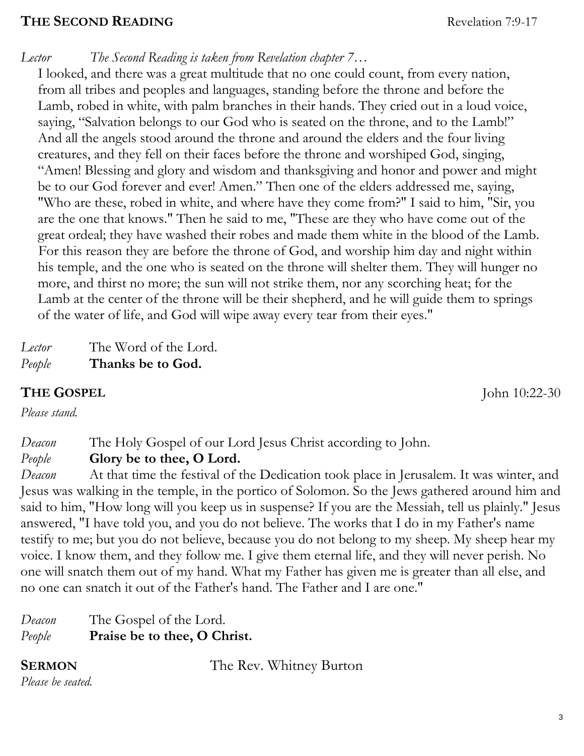#### **THE SECOND READING**

*Lector The Second Reading is taken from Revelation chapter 7…*

I looked, and there was a great multitude that no one could count, from every nation, from all tribes and peoples and languages, standing before the throne and before the Lamb, robed in white, with palm branches in their hands. They cried out in a loud voice, saying, "Salvation belongs to our God who is seated on the throne, and to the Lamb!" And all the angels stood around the throne and around the elders and the four living creatures, and they fell on their faces before the throne and worshiped God, singing, "Amen! Blessing and glory and wisdom and thanksgiving and honor and power and might be to our God forever and ever! Amen." Then one of the elders addressed me, saying, "Who are these, robed in white, and where have they come from?" I said to him, "Sir, you are the one that knows." Then he said to me, "These are they who have come out of the great ordeal; they have washed their robes and made them white in the blood of the Lamb. For this reason they are before the throne of God, and worship him day and night within his temple, and the one who is seated on the throne will shelter them. They will hunger no more, and thirst no more; the sun will not strike them, nor any scorching heat; for the Lamb at the center of the throne will be their shepherd, and he will guide them to springs of the water of life, and God will wipe away every tear from their eyes."

*Lector* The Word of the Lord. *People* **Thanks be to God.**

## **THE GOSPEL** John 10:22-30

*Please stand.*

*Deacon* The Holy Gospel of our Lord Jesus Christ according to John.

*People* **Glory be to thee, O Lord.** 

*Deacon* At that time the festival of the Dedication took place in Jerusalem. It was winter, and Jesus was walking in the temple, in the portico of Solomon. So the Jews gathered around him and said to him, "How long will you keep us in suspense? If you are the Messiah, tell us plainly." Jesus answered, "I have told you, and you do not believe. The works that I do in my Father's name testify to me; but you do not believe, because you do not belong to my sheep. My sheep hear my voice. I know them, and they follow me. I give them eternal life, and they will never perish. No one will snatch them out of my hand. What my Father has given me is greater than all else, and no one can snatch it out of the Father's hand. The Father and I are one."

| Deacon | The Gospel of the Lord.      |
|--------|------------------------------|
| People | Praise be to thee, O Christ. |

**SERMON** The Rev. Whitney Burton

*Please be seated.*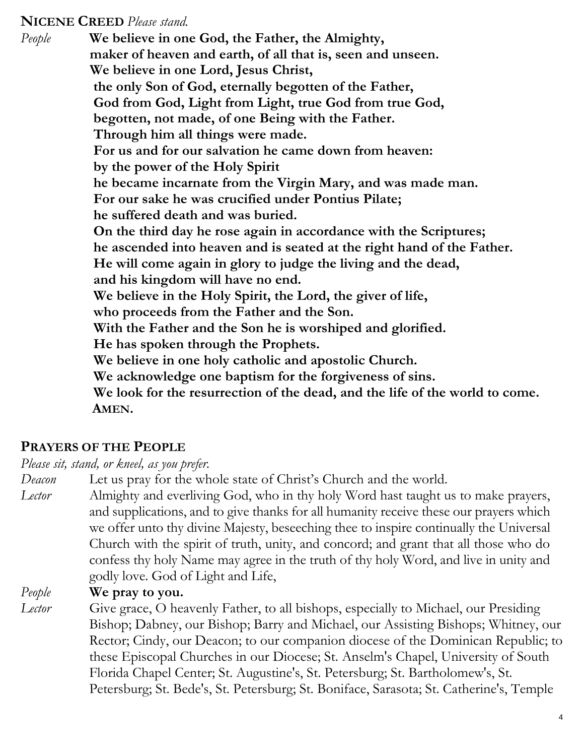#### **NICENE CREED** *Please stand.*

*People* **We believe in one God, the Father, the Almighty, maker of heaven and earth, of all that is, seen and unseen. We believe in one Lord, Jesus Christ, the only Son of God, eternally begotten of the Father, God from God, Light from Light, true God from true God, begotten, not made, of one Being with the Father. Through him all things were made. For us and for our salvation he came down from heaven: by the power of the Holy Spirit he became incarnate from the Virgin Mary, and was made man. For our sake he was crucified under Pontius Pilate; he suffered death and was buried. On the third day he rose again in accordance with the Scriptures; he ascended into heaven and is seated at the right hand of the Father. He will come again in glory to judge the living and the dead, and his kingdom will have no end. We believe in the Holy Spirit, the Lord, the giver of life, who proceeds from the Father and the Son. With the Father and the Son he is worshiped and glorified. He has spoken through the Prophets. We believe in one holy catholic and apostolic Church. We acknowledge one baptism for the forgiveness of sins. We look for the resurrection of the dead, and the life of the world to come. AMEN.**

## **PRAYERS OF THE PEOPLE**

*Please sit, stand, or kneel, as you prefer.*

*Deacon* Let us pray for the whole state of Christ's Church and the world.

*Lector* Almighty and everliving God, who in thy holy Word hast taught us to make prayers, and supplications, and to give thanks for all humanity receive these our prayers which we offer unto thy divine Majesty, beseeching thee to inspire continually the Universal Church with the spirit of truth, unity, and concord; and grant that all those who do confess thy holy Name may agree in the truth of thy holy Word, and live in unity and godly love. God of Light and Life,

*People* **We pray to you.**

*Lector* Give grace, O heavenly Father, to all bishops, especially to Michael, our Presiding Bishop; Dabney, our Bishop; Barry and Michael, our Assisting Bishops; Whitney, our Rector; Cindy, our Deacon; to our companion diocese of the Dominican Republic; to these Episcopal Churches in our Diocese; St. Anselm's Chapel, University of South Florida Chapel Center; St. Augustine's, St. Petersburg; St. Bartholomew's, St. Petersburg; St. Bede's, St. Petersburg; St. Boniface, Sarasota; St. Catherine's, Temple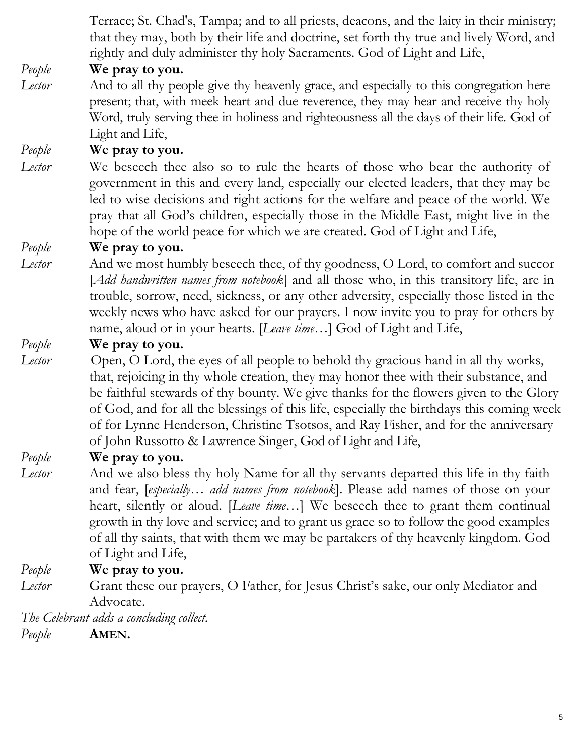Terrace; St. Chad's, Tampa; and to all priests, deacons, and the laity in their ministry; that they may, both by their life and doctrine, set forth thy true and lively Word, and rightly and duly administer thy holy Sacraments. God of Light and Life,

## *People* **We pray to you.**

*Lector* And to all thy people give thy heavenly grace, and especially to this congregation here present; that, with meek heart and due reverence, they may hear and receive thy holy Word, truly serving thee in holiness and righteousness all the days of their life. God of Light and Life,

#### *People* **We pray to you.**

*Lector* We beseech thee also so to rule the hearts of those who bear the authority of government in this and every land, especially our elected leaders, that they may be led to wise decisions and right actions for the welfare and peace of the world. We pray that all God's children, especially those in the Middle East, might live in the hope of the world peace for which we are created. God of Light and Life,

#### *People* **We pray to you.**

*Lector* And we most humbly beseech thee, of thy goodness, O Lord, to comfort and succor [*Add handwritten names from notebook*] and all those who, in this transitory life, are in trouble, sorrow, need, sickness, or any other adversity, especially those listed in the weekly news who have asked for our prayers. I now invite you to pray for others by name, aloud or in your hearts. [*Leave time…*] God of Light and Life,

#### *People* **We pray to you.**

*Lector* Open, O Lord, the eyes of all people to behold thy gracious hand in all thy works, that, rejoicing in thy whole creation, they may honor thee with their substance, and be faithful stewards of thy bounty. We give thanks for the flowers given to the Glory of God, and for all the blessings of this life, especially the birthdays this coming week of for Lynne Henderson, Christine Tsotsos, and Ray Fisher, and for the anniversary of John Russotto & Lawrence Singer, God of Light and Life,

#### *People* **We pray to you.**

*Lector* And we also bless thy holy Name for all thy servants departed this life in thy faith and fear, [*especially… add names from notebook*]. Please add names of those on your heart, silently or aloud. [*Leave time…*] We beseech thee to grant them continual growth in thy love and service; and to grant us grace so to follow the good examples of all thy saints, that with them we may be partakers of thy heavenly kingdom. God of Light and Life,

#### *People* **We pray to you.**

*Lector* Grant these our prayers, O Father, for Jesus Christ's sake, our only Mediator and Advocate.

*The Celebrant adds a concluding collect.* 

*People* **AMEN.**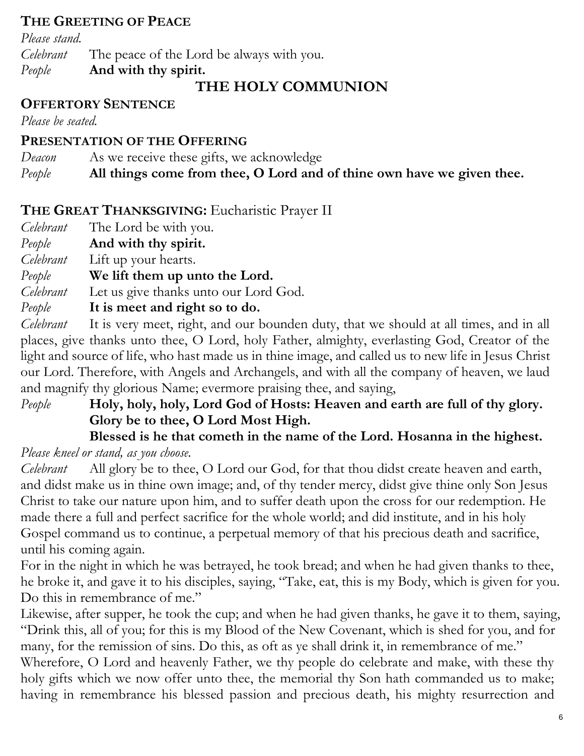## **THE GREETING OF PEACE**

*Please stand. Celebrant* The peace of the Lord be always with you. *People* **And with thy spirit.**

# **THE HOLY COMMUNION**

## **OFFERTORY SENTENCE**

*Please be seated.*

## **PRESENTATION OF THE OFFERING**

*Deacon* As we receive these gifts, we acknowledge *People* **All things come from thee, O Lord and of thine own have we given thee.**

# **THE GREAT THANKSGIVING:** Eucharistic Prayer II

- *Celebrant* The Lord be with you.
- *People* **And with thy spirit.**
- *Celebrant* Lift up your hearts.
- *People* **We lift them up unto the Lord.**

*Celebrant* Let us give thanks unto our Lord God.

*People* **It is meet and right so to do.**

*Celebrant* It is very meet, right, and our bounden duty, that we should at all times, and in all places, give thanks unto thee, O Lord, holy Father, almighty, everlasting God, Creator of the light and source of life, who hast made us in thine image, and called us to new life in Jesus Christ our Lord. Therefore, with Angels and Archangels, and with all the company of heaven, we laud and magnify thy glorious Name; evermore praising thee, and saying,

# *People* **Holy, holy, holy, Lord God of Hosts: Heaven and earth are full of thy glory. Glory be to thee, O Lord Most High.**

## **Blessed is he that cometh in the name of the Lord. Hosanna in the highest.** *Please kneel or stand, as you choose.*

*Celebrant* All glory be to thee, O Lord our God, for that thou didst create heaven and earth, and didst make us in thine own image; and, of thy tender mercy, didst give thine only Son Jesus Christ to take our nature upon him, and to suffer death upon the cross for our redemption. He made there a full and perfect sacrifice for the whole world; and did institute, and in his holy Gospel command us to continue, a perpetual memory of that his precious death and sacrifice, until his coming again.

For in the night in which he was betrayed, he took bread; and when he had given thanks to thee, he broke it, and gave it to his disciples, saying, "Take, eat, this is my Body, which is given for you. Do this in remembrance of me."

Likewise, after supper, he took the cup; and when he had given thanks, he gave it to them, saying, "Drink this, all of you; for this is my Blood of the New Covenant, which is shed for you, and for many, for the remission of sins. Do this, as oft as ye shall drink it, in remembrance of me."

Wherefore, O Lord and heavenly Father, we thy people do celebrate and make, with these thy holy gifts which we now offer unto thee, the memorial thy Son hath commanded us to make; having in remembrance his blessed passion and precious death, his mighty resurrection and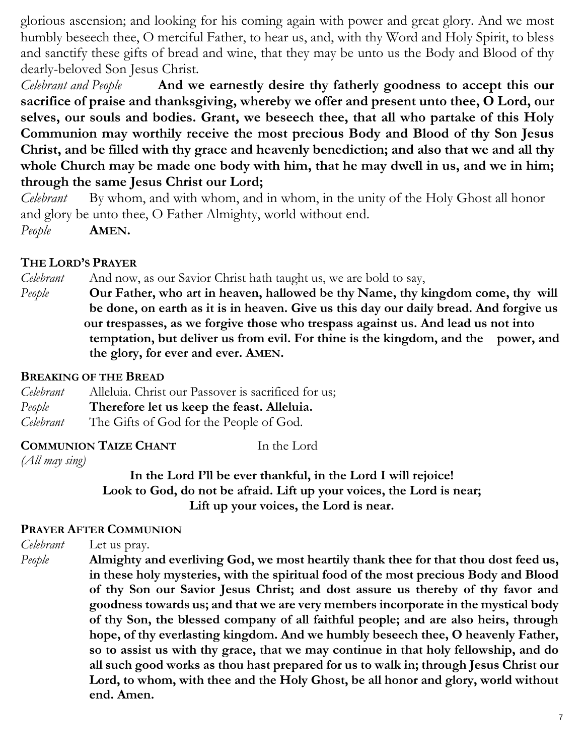glorious ascension; and looking for his coming again with power and great glory. And we most humbly beseech thee, O merciful Father, to hear us, and, with thy Word and Holy Spirit, to bless and sanctify these gifts of bread and wine, that they may be unto us the Body and Blood of thy dearly-beloved Son Jesus Christ.

*Celebrant and People* **And we earnestly desire thy fatherly goodness to accept this our sacrifice of praise and thanksgiving, whereby we offer and present unto thee, O Lord, our selves, our souls and bodies. Grant, we beseech thee, that all who partake of this Holy Communion may worthily receive the most precious Body and Blood of thy Son Jesus Christ, and be filled with thy grace and heavenly benediction; and also that we and all thy whole Church may be made one body with him, that he may dwell in us, and we in him; through the same Jesus Christ our Lord;** 

*Celebrant* By whom, and with whom, and in whom, in the unity of the Holy Ghost all honor and glory be unto thee, O Father Almighty, world without end. *People* **AMEN.**

#### **THE LORD'S PRAYER**

*Celebrant* And now, as our Savior Christ hath taught us, we are bold to say,

*People* **Our Father, who art in heaven, hallowed be thy Name, thy kingdom come, thy will be done, on earth as it is in heaven. Give us this day our daily bread. And forgive us our trespasses, as we forgive those who trespass against us. And lead us not into temptation, but deliver us from evil. For thine is the kingdom, and the power, and the glory, for ever and ever. AMEN.**

#### **BREAKING OF THE BREAD**

| Celebrant | Alleluia. Christ our Passover is sacrificed for us; |
|-----------|-----------------------------------------------------|
| People    | Therefore let us keep the feast. Alleluia.          |
| Celebrant | The Gifts of God for the People of God.             |

#### **COMMUNION TAIZE CHANT** In the Lord

*(All may sing)*

**In the Lord I'll be ever thankful, in the Lord I will rejoice! Look to God, do not be afraid. Lift up your voices, the Lord is near; Lift up your voices, the Lord is near.**

#### **PRAYER AFTER COMMUNION**

*Celebrant* Let us pray.

*People* **Almighty and everliving God, we most heartily thank thee for that thou dost feed us, in these holy mysteries, with the spiritual food of the most precious Body and Blood of thy Son our Savior Jesus Christ; and dost assure us thereby of thy favor and goodness towards us; and that we are very members incorporate in the mystical body of thy Son, the blessed company of all faithful people; and are also heirs, through hope, of thy everlasting kingdom. And we humbly beseech thee, O heavenly Father, so to assist us with thy grace, that we may continue in that holy fellowship, and do all such good works as thou hast prepared for us to walk in; through Jesus Christ our Lord, to whom, with thee and the Holy Ghost, be all honor and glory, world without end. Amen.**